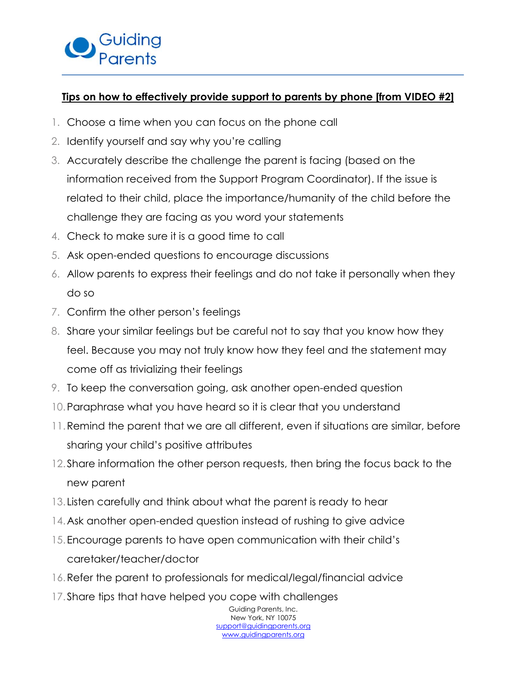## **Tips on how to effectively provide support to parents by phone [from VIDEO #2]**

- 1. Choose a time when you can focus on the phone call
- 2. Identify yourself and say why you're calling
- 3. Accurately describe the challenge the parent is facing (based on the information received from the Support Program Coordinator). If the issue is related to their child, place the importance/humanity of the child before the challenge they are facing as you word your statements
- 4. Check to make sure it is a good time to call
- 5. Ask open-ended questions to encourage discussions
- 6. Allow parents to express their feelings and do not take it personally when they do so
- 7. Confirm the other person's feelings
- 8. Share your similar feelings but be careful not to say that you know how they feel. Because you may not truly know how they feel and the statement may come off as trivializing their feelings
- 9. To keep the conversation going, ask another open-ended question
- 10.Paraphrase what you have heard so it is clear that you understand
- 11.Remind the parent that we are all different, even if situations are similar, before sharing your child's positive attributes
- 12.Share information the other person requests, then bring the focus back to the new parent
- 13. Listen carefully and think about what the parent is ready to hear
- 14.Ask another open-ended question instead of rushing to give advice
- 15.Encourage parents to have open communication with their child's caretaker/teacher/doctor
- 16.Refer the parent to professionals for medical/legal/financial advice
- 17.Share tips that have helped you cope with challenges